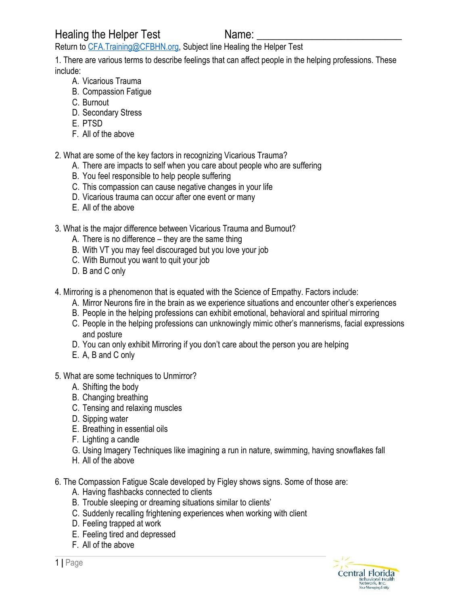Healing the Helper Test Name:

Return to [CFA.Training@CFBHN.org,](mailto:CFA@Training.org) Subject line Healing the Helper Test

1. There are various terms to describe feelings that can affect people in the helping professions. These include:

- A. Vicarious Trauma
- B. Compassion Fatigue
- C. Burnout
- D. Secondary Stress
- E. PTSD
- F. All of the above

2. What are some of the key factors in recognizing Vicarious Trauma?

- A. There are impacts to self when you care about people who are suffering
- B. You feel responsible to help people suffering
- C. This compassion can cause negative changes in your life
- D. Vicarious trauma can occur after one event or many
- E. All of the above
- 3. What is the major difference between Vicarious Trauma and Burnout?
	- A. There is no difference they are the same thing
	- B. With VT you may feel discouraged but you love your job
	- C. With Burnout you want to quit your job
	- D. B and C only
- 4. Mirroring is a phenomenon that is equated with the Science of Empathy. Factors include:
	- A. Mirror Neurons fire in the brain as we experience situations and encounter other's experiences
	- B. People in the helping professions can exhibit emotional, behavioral and spiritual mirroring
	- C. People in the helping professions can unknowingly mimic other's mannerisms, facial expressions and posture
	- D. You can only exhibit Mirroring if you don't care about the person you are helping
	- E. A, B and C only
- 5. What are some techniques to Unmirror?
	- A. Shifting the body
	- B. Changing breathing
	- C. Tensing and relaxing muscles
	- D. Sipping water
	- E. Breathing in essential oils
	- F. Lighting a candle
	- G. Using Imagery Techniques like imagining a run in nature, swimming, having snowflakes fall
	- H. All of the above
- 6. The Compassion Fatigue Scale developed by Figley shows signs. Some of those are:
	- A. Having flashbacks connected to clients
	- B. Trouble sleeping or dreaming situations similar to clients'
	- C. Suddenly recalling frightening experiences when working with client
	- D. Feeling trapped at work
	- E. Feeling tired and depressed
	- F. All of the above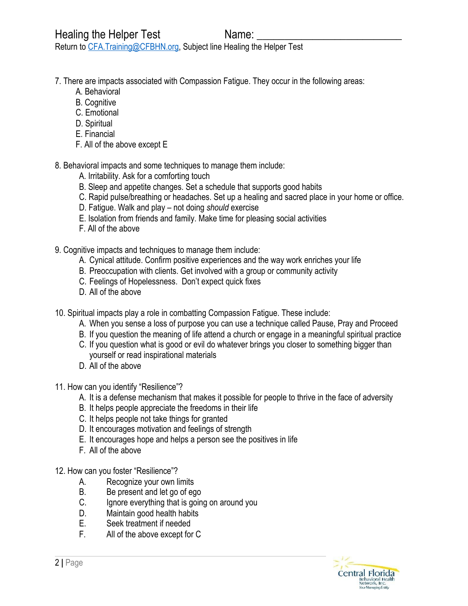Return to [CFA.Training@CFBHN.org,](mailto:CFA@Training.org) Subject line Healing the Helper Test

- 7. There are impacts associated with Compassion Fatigue. They occur in the following areas:
	- A. Behavioral
	- B. Cognitive
	- C. Emotional
	- D. Spiritual
	- E. Financial
	- F. All of the above except E
- 8. Behavioral impacts and some techniques to manage them include:
	- A. Irritability. Ask for a comforting touch
	- B. Sleep and appetite changes. Set a schedule that supports good habits
	- C. Rapid pulse/breathing or headaches. Set up a healing and sacred place in your home or office.
	- D. Fatigue. Walk and play not doing *should* exercise
	- E. Isolation from friends and family. Make time for pleasing social activities
	- F. All of the above
- 9. Cognitive impacts and techniques to manage them include:
	- A. Cynical attitude. Confirm positive experiences and the way work enriches your life
	- B. Preoccupation with clients. Get involved with a group or community activity
	- C. Feelings of Hopelessness. Don't expect quick fixes
	- D. All of the above
- 10. Spiritual impacts play a role in combatting Compassion Fatigue. These include:
	- A. When you sense a loss of purpose you can use a technique called Pause, Pray and Proceed
	- B. If you question the meaning of life attend a church or engage in a meaningful spiritual practice
	- C. If you question what is good or evil do whatever brings you closer to something bigger than yourself or read inspirational materials
	- D. All of the above
- 11. How can you identify "Resilience"?
	- A. It is a defense mechanism that makes it possible for people to thrive in the face of adversity
	- B. It helps people appreciate the freedoms in their life
	- C. It helps people not take things for granted
	- D. It encourages motivation and feelings of strength
	- E. It encourages hope and helps a person see the positives in life
	- F. All of the above
- 12. How can you foster "Resilience"?
	- A. Recognize your own limits
	- B. Be present and let go of ego
	- C. Ignore everything that is going on around you
	- D. Maintain good health habits
	- E. Seek treatment if needed
	- F. All of the above except for C